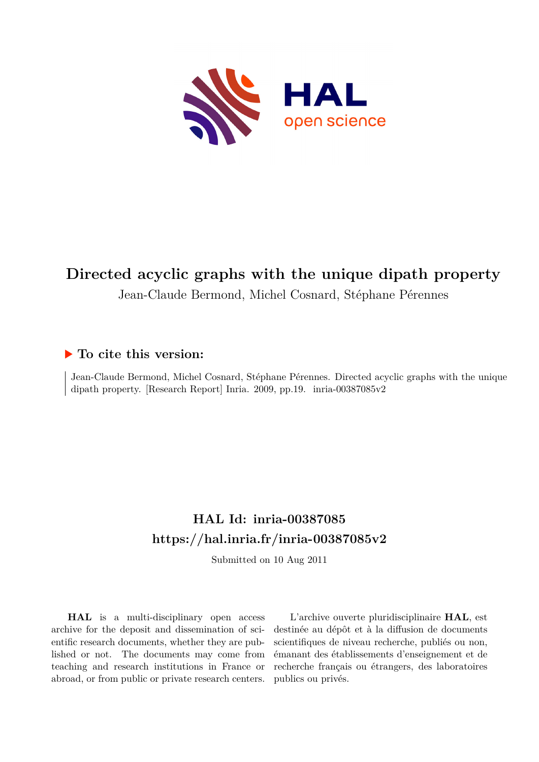

# **Directed acyclic graphs with the unique dipath property**

Jean-Claude Bermond, Michel Cosnard, Stéphane Pérennes

## **To cite this version:**

Jean-Claude Bermond, Michel Cosnard, Stéphane Pérennes. Directed acyclic graphs with the unique dipath property. [Research Report] Inria. 2009, pp.19. inria-00387085v2

# **HAL Id: inria-00387085 <https://hal.inria.fr/inria-00387085v2>**

Submitted on 10 Aug 2011

**HAL** is a multi-disciplinary open access archive for the deposit and dissemination of scientific research documents, whether they are published or not. The documents may come from teaching and research institutions in France or abroad, or from public or private research centers.

L'archive ouverte pluridisciplinaire **HAL**, est destinée au dépôt et à la diffusion de documents scientifiques de niveau recherche, publiés ou non, émanant des établissements d'enseignement et de recherche français ou étrangers, des laboratoires publics ou privés.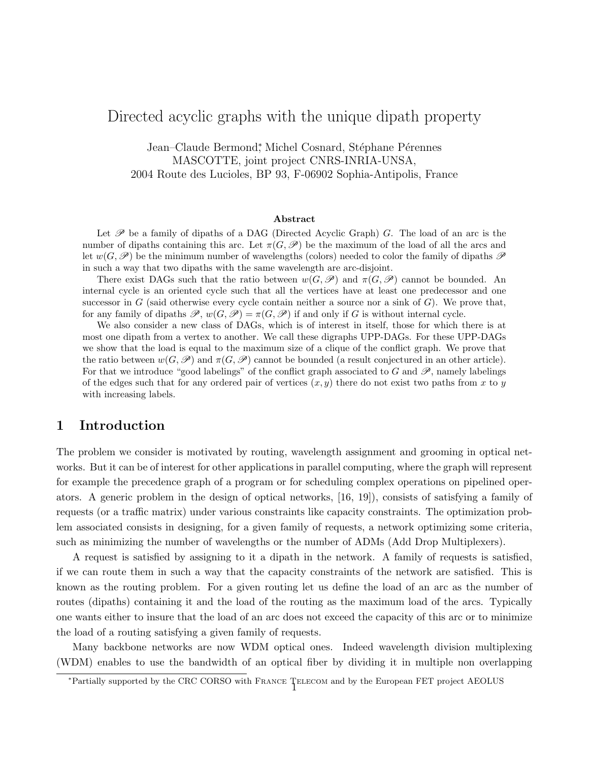## Directed acyclic graphs with the unique dipath property

Jean–Claude Bermond<sup>\*</sup>, Michel Cosnard, Stéphane Pérennes MASCOTTE, joint project CNRS-INRIA-UNSA, 2004 Route des Lucioles, BP 93, F-06902 Sophia-Antipolis, France

#### Abstract

Let  $\mathscr P$  be a family of dipaths of a DAG (Directed Acyclic Graph) G. The load of an arc is the number of dipaths containing this arc. Let  $\pi(G,\mathscr{P})$  be the maximum of the load of all the arcs and let  $w(G,\mathscr{P})$  be the minimum number of wavelengths (colors) needed to color the family of dipaths  $\mathscr P$ in such a way that two dipaths with the same wavelength are arc-disjoint.

There exist DAGs such that the ratio between  $w(G, \mathscr{P})$  and  $\pi(G, \mathscr{P})$  cannot be bounded. An internal cycle is an oriented cycle such that all the vertices have at least one predecessor and one successor in G (said otherwise every cycle contain neither a source nor a sink of  $G$ ). We prove that, for any family of dipaths  $\mathscr{P}, w(G, \mathscr{P}) = \pi(G, \mathscr{P})$  if and only if G is without internal cycle.

We also consider a new class of DAGs, which is of interest in itself, those for which there is at most one dipath from a vertex to another. We call these digraphs UPP-DAGs. For these UPP-DAGs we show that the load is equal to the maximum size of a clique of the conflict graph. We prove that the ratio between  $w(G,\mathscr{P})$  and  $\pi(G,\mathscr{P})$  cannot be bounded (a result conjectured in an other article). For that we introduce "good labelings" of the conflict graph associated to G and  $\mathscr{P}$ , namely labelings of the edges such that for any ordered pair of vertices  $(x, y)$  there do not exist two paths from x to y with increasing labels.

#### 1 Introduction

The problem we consider is motivated by routing, wavelength assignment and grooming in optical networks. But it can be of interest for other applications in parallel computing, where the graph will represent for example the precedence graph of a program or for scheduling complex operations on pipelined operators. A generic problem in the design of optical networks, [16, 19]), consists of satisfying a family of requests (or a traffic matrix) under various constraints like capacity constraints. The optimization problem associated consists in designing, for a given family of requests, a network optimizing some criteria, such as minimizing the number of wavelengths or the number of ADMs (Add Drop Multiplexers).

A request is satisfied by assigning to it a dipath in the network. A family of requests is satisfied, if we can route them in such a way that the capacity constraints of the network are satisfied. This is known as the routing problem. For a given routing let us define the load of an arc as the number of routes (dipaths) containing it and the load of the routing as the maximum load of the arcs. Typically one wants either to insure that the load of an arc does not exceed the capacity of this arc or to minimize the load of a routing satisfying a given family of requests.

Many backbone networks are now WDM optical ones. Indeed wavelength division multiplexing (WDM) enables to use the bandwidth of an optical fiber by dividing it in multiple non overlapping

<sup>∗</sup>Partially supported by the CRC CORSO with France Telecom and by the European FET project AEOLUS <sup>1</sup>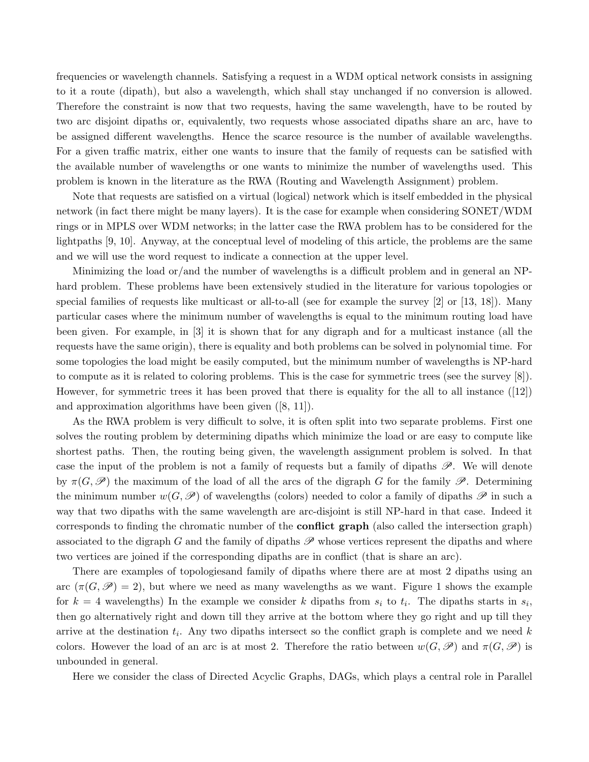frequencies or wavelength channels. Satisfying a request in a WDM optical network consists in assigning to it a route (dipath), but also a wavelength, which shall stay unchanged if no conversion is allowed. Therefore the constraint is now that two requests, having the same wavelength, have to be routed by two arc disjoint dipaths or, equivalently, two requests whose associated dipaths share an arc, have to be assigned different wavelengths. Hence the scarce resource is the number of available wavelengths. For a given traffic matrix, either one wants to insure that the family of requests can be satisfied with the available number of wavelengths or one wants to minimize the number of wavelengths used. This problem is known in the literature as the RWA (Routing and Wavelength Assignment) problem.

Note that requests are satisfied on a virtual (logical) network which is itself embedded in the physical network (in fact there might be many layers). It is the case for example when considering SONET/WDM rings or in MPLS over WDM networks; in the latter case the RWA problem has to be considered for the lightpaths [9, 10]. Anyway, at the conceptual level of modeling of this article, the problems are the same and we will use the word request to indicate a connection at the upper level.

Minimizing the load or/and the number of wavelengths is a difficult problem and in general an NPhard problem. These problems have been extensively studied in the literature for various topologies or special families of requests like multicast or all-to-all (see for example the survey [2] or [13, 18]). Many particular cases where the minimum number of wavelengths is equal to the minimum routing load have been given. For example, in [3] it is shown that for any digraph and for a multicast instance (all the requests have the same origin), there is equality and both problems can be solved in polynomial time. For some topologies the load might be easily computed, but the minimum number of wavelengths is NP-hard to compute as it is related to coloring problems. This is the case for symmetric trees (see the survey [8]). However, for symmetric trees it has been proved that there is equality for the all to all instance ([12]) and approximation algorithms have been given ([8, 11]).

As the RWA problem is very difficult to solve, it is often split into two separate problems. First one solves the routing problem by determining dipaths which minimize the load or are easy to compute like shortest paths. Then, the routing being given, the wavelength assignment problem is solved. In that case the input of the problem is not a family of requests but a family of dipaths  $\mathscr P$ . We will denote by  $\pi(G,\mathscr{P})$  the maximum of the load of all the arcs of the digraph G for the family  $\mathscr{P}$ . Determining the minimum number  $w(G,\mathscr{P})$  of wavelengths (colors) needed to color a family of dipaths  $\mathscr{P}$  in such a way that two dipaths with the same wavelength are arc-disjoint is still NP-hard in that case. Indeed it corresponds to finding the chromatic number of the conflict graph (also called the intersection graph) associated to the digraph G and the family of dipaths  $\mathscr P$  whose vertices represent the dipaths and where two vertices are joined if the corresponding dipaths are in conflict (that is share an arc).

There are examples of topologiesand family of dipaths where there are at most 2 dipaths using an arc  $(\pi(G, \mathscr{P}) = 2)$ , but where we need as many wavelengths as we want. Figure 1 shows the example for  $k = 4$  wavelengths) In the example we consider k dipaths from  $s_i$  to  $t_i$ . The dipaths starts in  $s_i$ , then go alternatively right and down till they arrive at the bottom where they go right and up till they arrive at the destination  $t_i$ . Any two dipaths intersect so the conflict graph is complete and we need k colors. However the load of an arc is at most 2. Therefore the ratio between  $w(G,\mathscr{P})$  and  $\pi(G,\mathscr{P})$  is unbounded in general.

Here we consider the class of Directed Acyclic Graphs, DAGs, which plays a central role in Parallel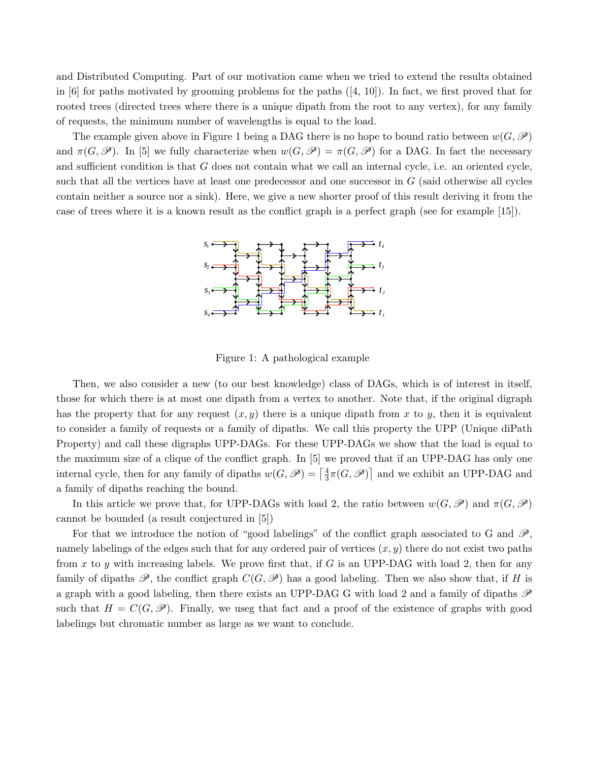and Distributed Computing. Part of our motivation came when we tried to extend the results obtained in [6] for paths motivated by grooming problems for the paths  $([4, 10])$ . In fact, we first proved that for rooted trees (directed trees where there is a unique dipath from the root to any vertex), for any family of requests, the minimum number of wavelengths is equal to the load.

The example given above in Figure 1 being a DAG there is no hope to bound ratio between  $w(G,\mathscr{P})$ and  $\pi(G,\mathscr{P})$ . In [5] we fully characterize when  $w(G,\mathscr{P}) = \pi(G,\mathscr{P})$  for a DAG. In fact the necessary and sufficient condition is that G does not contain what we call an internal cycle, i.e. an oriented cycle, such that all the vertices have at least one predecessor and one successor in  $G$  (said otherwise all cycles contain neither a source nor a sink). Here, we give a new shorter proof of this result deriving it from the case of trees where it is a known result as the conflict graph is a perfect graph (see for example [15]).



Figure 1: A pathological example

Then, we also consider a new (to our best knowledge) class of DAGs, which is of interest in itself, those for which there is at most one dipath from a vertex to another. Note that, if the original digraph has the property that for any request  $(x, y)$  there is a unique dipath from x to y, then it is equivalent to consider a family of requests or a family of dipaths. We call this property the UPP (Unique diPath Property) and call these digraphs UPP-DAGs. For these UPP-DAGs we show that the load is equal to the maximum size of a clique of the conflict graph. In [5] we proved that if an UPP-DAG has only one internal cycle, then for any family of dipaths  $w(G, \mathscr{P}) = \left[\frac{4}{3}\right]$  $\frac{4}{3}\pi(G,\mathscr{P})$  and we exhibit an UPP-DAG and a family of dipaths reaching the bound.

In this article we prove that, for UPP-DAGs with load 2, the ratio between  $w(G,\mathscr{P})$  and  $\pi(G,\mathscr{P})$ cannot be bounded (a result conjectured in [5])

For that we introduce the notion of "good labelings" of the conflict graph associated to G and  $\mathscr{P}$ , namely labelings of the edges such that for any ordered pair of vertices  $(x, y)$  there do not exist two paths from x to y with increasing labels. We prove first that, if G is an UPP-DAG with load 2, then for any family of dipaths  $\mathscr{P}$ , the conflict graph  $C(G,\mathscr{P})$  has a good labeling. Then we also show that, if H is a graph with a good labeling, then there exists an UPP-DAG G with load 2 and a family of dipaths  $\mathscr P$ such that  $H = C(G, \mathcal{P})$ . Finally, we useg that fact and a proof of the existence of graphs with good labelings but chromatic number as large as we want to conclude.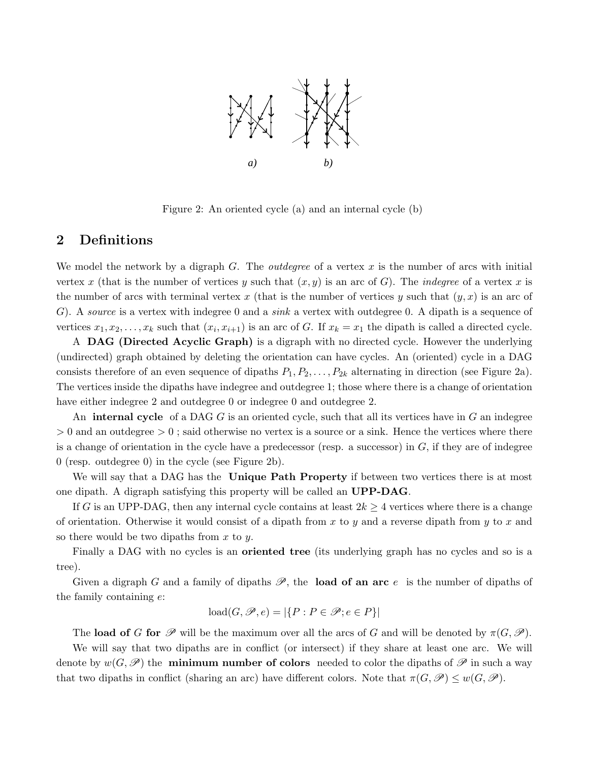

Figure 2: An oriented cycle (a) and an internal cycle (b)

### 2 Definitions

We model the network by a digraph  $G$ . The *outdegree* of a vertex  $x$  is the number of arcs with initial vertex x (that is the number of vertices y such that  $(x, y)$  is an arc of G). The *indegree* of a vertex x is the number of arcs with terminal vertex x (that is the number of vertices y such that  $(y, x)$  is an arc of G). A source is a vertex with indegree 0 and a sink a vertex with outdegree 0. A dipath is a sequence of vertices  $x_1, x_2, \ldots, x_k$  such that  $(x_i, x_{i+1})$  is an arc of G. If  $x_k = x_1$  the dipath is called a directed cycle.

A DAG (Directed Acyclic Graph) is a digraph with no directed cycle. However the underlying (undirected) graph obtained by deleting the orientation can have cycles. An (oriented) cycle in a DAG consists therefore of an even sequence of dipaths  $P_1, P_2, \ldots, P_{2k}$  alternating in direction (see Figure 2a). The vertices inside the dipaths have indegree and outdegree 1; those where there is a change of orientation have either indegree 2 and outdegree 0 or indegree 0 and outdegree 2.

An **internal cycle** of a DAG  $G$  is an oriented cycle, such that all its vertices have in  $G$  an indegree  $> 0$  and an outdegree  $> 0$ ; said otherwise no vertex is a source or a sink. Hence the vertices where there is a change of orientation in the cycle have a predecessor (resp. a successor) in  $G$ , if they are of indegree 0 (resp. outdegree 0) in the cycle (see Figure 2b).

We will say that a DAG has the **Unique Path Property** if between two vertices there is at most one dipath. A digraph satisfying this property will be called an UPP-DAG.

If G is an UPP-DAG, then any internal cycle contains at least  $2k \geq 4$  vertices where there is a change of orientation. Otherwise it would consist of a dipath from x to y and a reverse dipath from y to x and so there would be two dipaths from  $x$  to  $y$ .

Finally a DAG with no cycles is an oriented tree (its underlying graph has no cycles and so is a tree).

Given a digraph G and a family of dipaths  $\mathscr{P}$ , the **load of an arc** e is the number of dipaths of the family containing e:

$$
load(G, \mathcal{P}, e) = |\{P : P \in \mathcal{P}; e \in P\}|
$$

The load of G for  $\mathscr P$  will be the maximum over all the arcs of G and will be denoted by  $\pi(G,\mathscr P)$ .

We will say that two dipaths are in conflict (or intersect) if they share at least one arc. We will denote by  $w(G,\mathscr{P})$  the **minimum number of colors** needed to color the dipaths of  $\mathscr{P}$  in such a way that two dipaths in conflict (sharing an arc) have different colors. Note that  $\pi(G,\mathscr{P}) \leq w(G,\mathscr{P})$ .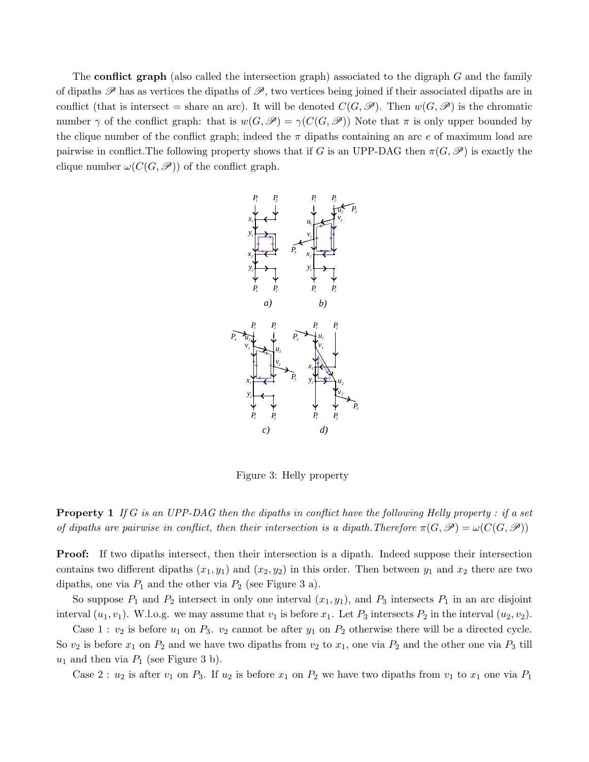The **conflict graph** (also called the intersection graph) associated to the digraph G and the family of dipaths  $\mathscr P$  has as vertices the dipaths of  $\mathscr P$ , two vertices being joined if their associated dipaths are in conflict (that is intersect = share an arc). It will be denoted  $C(G,\mathcal{P})$ . Then  $w(G,\mathcal{P})$  is the chromatic number  $\gamma$  of the conflict graph: that is  $w(G,\mathscr{P}) = \gamma(C(G,\mathscr{P}))$  Note that  $\pi$  is only upper bounded by the clique number of the conflict graph; indeed the  $\pi$  dipaths containing an arc e of maximum load are pairwise in conflict. The following property shows that if G is an UPP-DAG then  $\pi(G,\mathscr{P})$  is exactly the clique number  $\omega(C(G, \mathcal{P}))$  of the conflict graph.



Figure 3: Helly property

**Property 1** If G is an UPP-DAG then the dipaths in conflict have the following Helly property : if a set of dipaths are pairwise in conflict, then their intersection is a dipath. Therefore  $\pi(G, \mathscr{P}) = \omega(C(G, \mathscr{P}))$ 

Proof: If two dipaths intersect, then their intersection is a dipath. Indeed suppose their intersection contains two different dipaths  $(x_1, y_1)$  and  $(x_2, y_2)$  in this order. Then between  $y_1$  and  $x_2$  there are two dipaths, one via  $P_1$  and the other via  $P_2$  (see Figure 3 a).

So suppose  $P_1$  and  $P_2$  intersect in only one interval  $(x_1, y_1)$ , and  $P_3$  intersects  $P_1$  in an arc disjoint interval  $(u_1, v_1)$ . W.l.o.g. we may assume that  $v_1$  is before  $x_1$ . Let  $P_3$  intersects  $P_2$  in the interval  $(u_2, v_2)$ .

Case 1 :  $v_2$  is before  $u_1$  on  $P_3$ .  $v_2$  cannot be after  $y_1$  on  $P_2$  otherwise there will be a directed cycle. So  $v_2$  is before  $x_1$  on  $P_2$  and we have two dipaths from  $v_2$  to  $x_1$ , one via  $P_2$  and the other one via  $P_3$  till  $u_1$  and then via  $P_1$  (see Figure 3 b).

Case 2 :  $u_2$  is after  $v_1$  on  $P_3$ . If  $u_2$  is before  $x_1$  on  $P_2$  we have two dipaths from  $v_1$  to  $x_1$  one via  $P_1$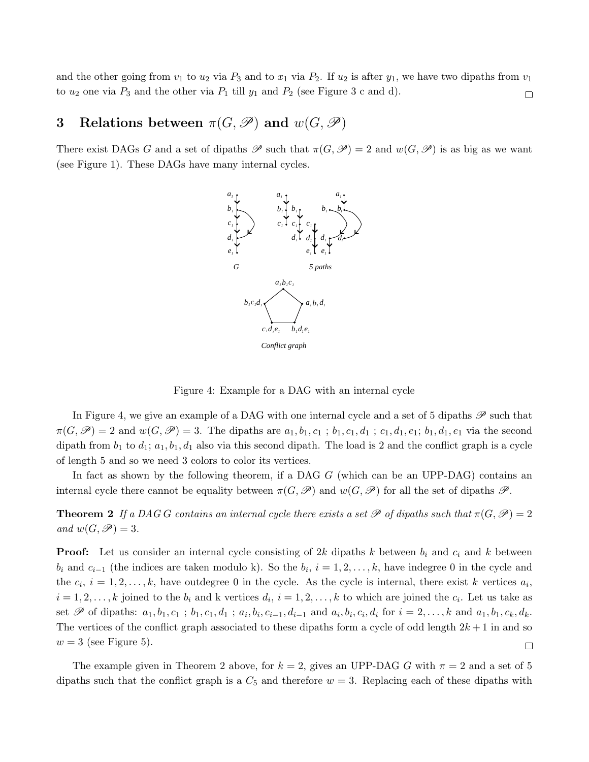and the other going from  $v_1$  to  $u_2$  via  $P_3$  and to  $x_1$  via  $P_2$ . If  $u_2$  is after  $y_1$ , we have two dipaths from  $v_1$ to  $u_2$  one via  $P_3$  and the other via  $P_1$  till  $y_1$  and  $P_2$  (see Figure 3 c and d).  $\Box$ 

# 3 Relations between  $\pi(G, \mathscr{P})$  and  $w(G, \mathscr{P})$

There exist DAGs G and a set of dipaths  $\mathscr P$  such that  $\pi(G,\mathscr P)=2$  and  $w(G,\mathscr P)$  is as big as we want (see Figure 1). These DAGs have many internal cycles.



Figure 4: Example for a DAG with an internal cycle

In Figure 4, we give an example of a DAG with one internal cycle and a set of 5 dipaths  $\mathscr P$  such that  $\pi(G,\mathscr{P})=2$  and  $w(G,\mathscr{P})=3$ . The dipaths are  $a_1,b_1,c_1$ ;  $b_1,c_1,d_1$ ;  $c_1,d_1,e_1; b_1,d_1,e_1$  via the second dipath from  $b_1$  to  $d_1$ ;  $a_1$ ,  $b_1$ ,  $d_1$  also via this second dipath. The load is 2 and the conflict graph is a cycle of length 5 and so we need 3 colors to color its vertices.

In fact as shown by the following theorem, if a DAG G (which can be an UPP-DAG) contains an internal cycle there cannot be equality between  $\pi(G,\mathscr{P})$  and  $w(G,\mathscr{P})$  for all the set of dipaths  $\mathscr{P}$ .

**Theorem 2** If a DAG G contains an internal cycle there exists a set  $\mathscr P$  of dipaths such that  $\pi(G,\mathscr P)=2$ and  $w(G,\mathscr{P})=3$ .

**Proof:** Let us consider an internal cycle consisting of 2k dipaths k between  $b_i$  and  $c_i$  and k between  $b_i$  and  $c_{i-1}$  (the indices are taken modulo k). So the  $b_i$ ,  $i = 1, 2, \ldots, k$ , have indegree 0 in the cycle and the  $c_i$ ,  $i = 1, 2, \ldots, k$ , have outdegree 0 in the cycle. As the cycle is internal, there exist k vertices  $a_i$ ,  $i = 1, 2, \ldots, k$  joined to the  $b_i$  and k vertices  $d_i$ ,  $i = 1, 2, \ldots, k$  to which are joined the  $c_i$ . Let us take as set  $\mathscr P$  of dipaths:  $a_1, b_1, c_1; b_1, c_1, d_1; a_i, b_i, c_{i-1}, d_{i-1}$  and  $a_i, b_i, c_i, d_i$  for  $i = 2, \ldots, k$  and  $a_1, b_1, c_k, d_k$ . The vertices of the conflict graph associated to these dipaths form a cycle of odd length  $2k+1$  in and so  $w = 3$  (see Figure 5).  $\Box$ 

The example given in Theorem 2 above, for  $k = 2$ , gives an UPP-DAG G with  $\pi = 2$  and a set of 5 dipaths such that the conflict graph is a  $C_5$  and therefore  $w = 3$ . Replacing each of these dipaths with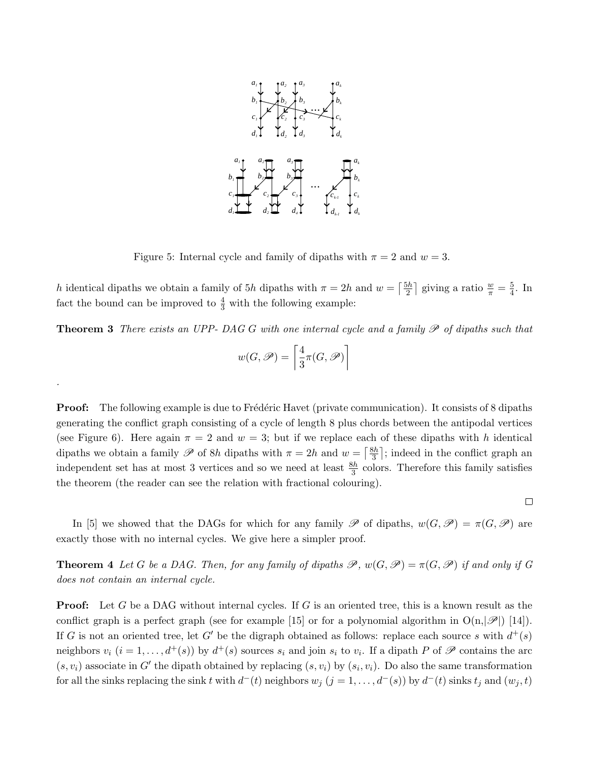

Figure 5: Internal cycle and family of dipaths with  $\pi = 2$  and  $w = 3$ .

h identical dipaths we obtain a family of 5h dipaths with  $\pi = 2h$  and  $w = \left[\frac{5h}{2}\right]$  $\frac{5h}{2}$  giving a ratio  $\frac{w}{\pi} = \frac{5}{4}$  $\frac{5}{4}$ . In fact the bound can be improved to  $\frac{4}{3}$  with the following example:

**Theorem 3** There exists an UPP- DAG G with one internal cycle and a family  $\mathscr P$  of dipaths such that

$$
w(G,\mathscr{P})=\left\lceil \frac{4}{3}\pi(G,\mathscr{P})\right\rceil
$$

.

**Proof:** The following example is due to Frédéric Havet (private communication). It consists of 8 dipaths generating the conflict graph consisting of a cycle of length 8 plus chords between the antipodal vertices (see Figure 6). Here again  $\pi = 2$  and  $w = 3$ ; but if we replace each of these dipaths with h identical dipaths we obtain a family  $\mathscr P$  of 8h dipaths with  $\pi = 2h$  and  $w = \lceil \frac{8h}{3} \rceil$  $\frac{3h}{3}$ ; indeed in the conflict graph and independent set has at most 3 vertices and so we need at least  $\frac{8h}{3}$  colors. Therefore this family satisfies the theorem (the reader can see the relation with fractional colouring).

 $\Box$ 

In [5] we showed that the DAGs for which for any family  $\mathscr P$  of dipaths,  $w(G,\mathscr P) = \pi(G,\mathscr P)$  are exactly those with no internal cycles. We give here a simpler proof.

**Theorem 4** Let G be a DAG. Then, for any family of dipaths  $\mathscr{P}$ ,  $w(G, \mathscr{P}) = \pi(G, \mathscr{P})$  if and only if G does not contain an internal cycle.

**Proof:** Let G be a DAG without internal cycles. If G is an oriented tree, this is a known result as the conflict graph is a perfect graph (see for example [15] or for a polynomial algorithm in  $O(n,|\mathscr{P}|)$  [14]). If G is not an oriented tree, let G' be the digraph obtained as follows: replace each source s with  $d^+(s)$ neighbors  $v_i$   $(i = 1, \ldots, d^+(s))$  by  $d^+(s)$  sources  $s_i$  and join  $s_i$  to  $v_i$ . If a dipath P of  $\mathscr P$  contains the arc  $(s, v_i)$  associate in G' the dipath obtained by replacing  $(s, v_i)$  by  $(s_i, v_i)$ . Do also the same transformation for all the sinks replacing the sink t with  $d^-(t)$  neighbors  $w_j$   $(j = 1, ..., d^-(s))$  by  $d^-(t)$  sinks  $t_j$  and  $(w_j, t)$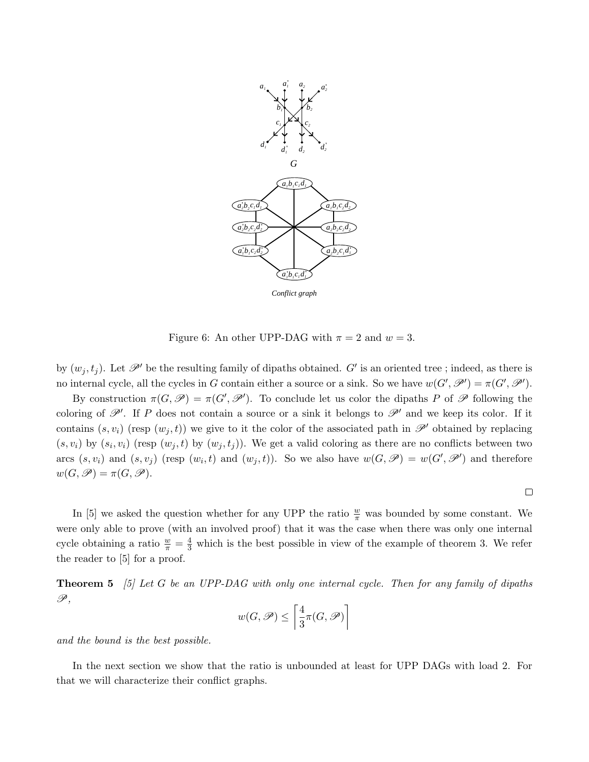

Figure 6: An other UPP-DAG with  $\pi = 2$  and  $w = 3$ .

by  $(w_j, t_j)$ . Let  $\mathscr{P}'$  be the resulting family of dipaths obtained. G' is an oriented tree ; indeed, as there is no internal cycle, all the cycles in G contain either a source or a sink. So we have  $w(G', \mathscr{P}') = \pi(G', \mathscr{P}')$ .

By construction  $\pi(G, \mathscr{P}) = \pi(G', \mathscr{P}')$ . To conclude let us color the dipaths P of  $\mathscr P$  following the coloring of  $\mathscr{P}'$ . If P does not contain a source or a sink it belongs to  $\mathscr{P}'$  and we keep its color. If it contains  $(s, v_i)$  (resp  $(w_i, t)$ ) we give to it the color of the associated path in  $\mathscr{P}'$  obtained by replacing  $(s, v_i)$  by  $(s_i, v_i)$  (resp  $(w_j, t)$  by  $(w_j, t_j)$ ). We get a valid coloring as there are no conflicts between two arcs  $(s, v_i)$  and  $(s, v_j)$  (resp  $(w_i, t)$  and  $(w_j, t)$ ). So we also have  $w(G, \mathcal{P}) = w(G', \mathcal{P}')$  and therefore  $w(G,\mathscr{P}) = \pi(G,\mathscr{P}).$ 

 $\Box$ 

In [5] we asked the question whether for any UPP the ratio  $\frac{w}{\pi}$  was bounded by some constant. We were only able to prove (with an involved proof) that it was the case when there was only one internal cycle obtaining a ratio  $\frac{w}{\pi} = \frac{4}{3}$  which is the best possible in view of the example of theorem 3. We refer the reader to [5] for a proof.

**Theorem 5** [5] Let G be an UPP-DAG with only one internal cycle. Then for any family of dipaths  $\mathscr{P},$ 

$$
w(G,\mathscr{P})\leq \left\lceil \frac{4}{3}\pi(G,\mathscr{P})\right\rceil
$$

and the bound is the best possible.

In the next section we show that the ratio is unbounded at least for UPP DAGs with load 2. For that we will characterize their conflict graphs.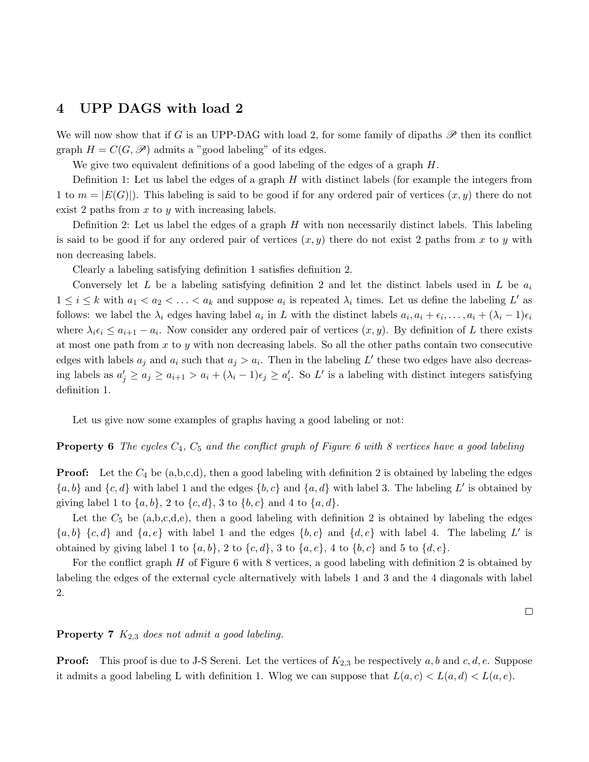### 4 UPP DAGS with load 2

We will now show that if G is an UPP-DAG with load 2, for some family of dipaths  $\mathscr P$  then its conflict graph  $H = C(G, \mathscr{P})$  admits a "good labeling" of its edges.

We give two equivalent definitions of a good labeling of the edges of a graph  $H$ .

Definition 1: Let us label the edges of a graph  $H$  with distinct labels (for example the integers from 1 to  $m = |E(G)|$ . This labeling is said to be good if for any ordered pair of vertices  $(x, y)$  there do not exist 2 paths from  $x$  to  $y$  with increasing labels.

Definition 2: Let us label the edges of a graph  $H$  with non necessarily distinct labels. This labeling is said to be good if for any ordered pair of vertices  $(x, y)$  there do not exist 2 paths from x to y with non decreasing labels.

Clearly a labeling satisfying definition 1 satisfies definition 2.

Conversely let L be a labeling satisfying definition 2 and let the distinct labels used in L be  $a_i$  $1 \leq i \leq k$  with  $a_1 < a_2 < \ldots < a_k$  and suppose  $a_i$  is repeated  $\lambda_i$  times. Let us define the labeling L' as follows: we label the  $\lambda_i$  edges having label  $a_i$  in L with the distinct labels  $a_i, a_i + \epsilon_i, \ldots, a_i + (\lambda_i - 1)\epsilon_i$ where  $\lambda_i \epsilon_i \leq a_{i+1} - a_i$ . Now consider any ordered pair of vertices  $(x, y)$ . By definition of L there exists at most one path from x to y with non decreasing labels. So all the other paths contain two consecutive edges with labels  $a_j$  and  $a_i$  such that  $a_j > a_i$ . Then in the labeling L' these two edges have also decreasing labels as  $a'_j \ge a_j \ge a_{i+1} > a_i + (\lambda_i - 1)\epsilon_j \ge a'_i$ . So L' is a labeling with distinct integers satisfying definition 1.

Let us give now some examples of graphs having a good labeling or not:

#### **Property 6** The cycles  $C_4$ ,  $C_5$  and the conflict graph of Figure 6 with 8 vertices have a good labeling

**Proof:** Let the  $C_4$  be (a,b,c,d), then a good labeling with definition 2 is obtained by labeling the edges  ${a, b}$  and  ${c, d}$  with label 1 and the edges  ${b, c}$  and  ${a, d}$  with label 3. The labeling L' is obtained by giving label 1 to  $\{a, b\}$ , 2 to  $\{c, d\}$ , 3 to  $\{b, c\}$  and 4 to  $\{a, d\}$ .

Let the  $C_5$  be  $(a,b,c,d,e)$ , then a good labeling with definition 2 is obtained by labeling the edges  ${a, b} {c, d}$  and  ${a, e}$  with label 1 and the edges  ${b, c}$  and  ${d, e}$  with label 4. The labeling L' is obtained by giving label 1 to  $\{a, b\}$ , 2 to  $\{c, d\}$ , 3 to  $\{a, e\}$ , 4 to  $\{b, c\}$  and 5 to  $\{d, e\}$ .

For the conflict graph H of Figure 6 with 8 vertices, a good labeling with definition 2 is obtained by labeling the edges of the external cycle alternatively with labels 1 and 3 and the 4 diagonals with label 2.

 $\Box$ 

#### **Property 7**  $K_{2,3}$  does not admit a good labeling.

**Proof:** This proof is due to J-S Sereni. Let the vertices of  $K_{2,3}$  be respectively a, b and c, d, e. Suppose it admits a good labeling L with definition 1. Wlog we can suppose that  $L(a, c) < L(a, d) < L(a, e)$ .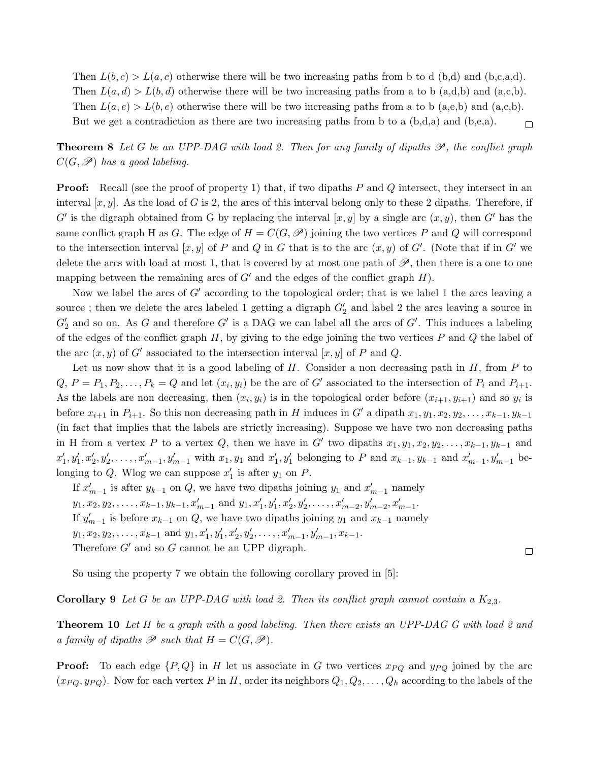Then  $L(b, c) > L(a, c)$  otherwise there will be two increasing paths from b to d (b,d) and (b,c,a,d). Then  $L(a, d) > L(b, d)$  otherwise there will be two increasing paths from a to b (a,d,b) and (a,c,b). Then  $L(a, e) > L(b, e)$  otherwise there will be two increasing paths from a to b (a,e,b) and (a,c,b). But we get a contradiction as there are two increasing paths from b to a  $(b,d,a)$  and  $(b,e,a)$ .  $\Box$ 

**Theorem 8** Let G be an UPP-DAG with load 2. Then for any family of dipaths  $\mathscr{P}$ , the conflict graph  $C(G,\mathscr{P})$  has a good labeling.

**Proof:** Recall (see the proof of property 1) that, if two dipaths  $P$  and  $Q$  intersect, they intersect in an interval  $[x, y]$ . As the load of G is 2, the arcs of this interval belong only to these 2 dipaths. Therefore, if G' is the digraph obtained from G by replacing the interval  $[x, y]$  by a single arc  $(x, y)$ , then G' has the same conflict graph H as G. The edge of  $H = C(G, \mathcal{P})$  joining the two vertices P and Q will correspond to the intersection interval  $[x, y]$  of P and Q in G that is to the arc  $(x, y)$  of G'. (Note that if in G' we delete the arcs with load at most 1, that is covered by at most one path of  $\mathscr{P}$ , then there is a one to one mapping between the remaining arcs of  $G'$  and the edges of the conflict graph  $H$ ).

Now we label the arcs of  $G'$  according to the topological order; that is we label 1 the arcs leaving a source; then we delete the arcs labeled 1 getting a digraph  $G_2'$  and label 2 the arcs leaving a source in  $G_2'$  and so on. As G and therefore G' is a DAG we can label all the arcs of G'. This induces a labeling of the edges of the conflict graph  $H$ , by giving to the edge joining the two vertices  $P$  and  $Q$  the label of the arc  $(x, y)$  of G' associated to the intersection interval  $[x, y]$  of P and Q.

Let us now show that it is a good labeling of  $H$ . Consider a non decreasing path in  $H$ , from  $P$  to  $Q, P = P_1, P_2, \ldots, P_k = Q$  and let  $(x_i, y_i)$  be the arc of G' associated to the intersection of  $P_i$  and  $P_{i+1}$ . As the labels are non decreasing, then  $(x_i, y_i)$  is in the topological order before  $(x_{i+1}, y_{i+1})$  and so  $y_i$  is before  $x_{i+1}$  in  $P_{i+1}$ . So this non decreasing path in H induces in G' a dipath  $x_1, y_1, x_2, y_2, \ldots, x_{k-1}, y_{k-1}$ (in fact that implies that the labels are strictly increasing). Suppose we have two non decreasing paths in H from a vertex P to a vertex Q, then we have in G' two dipaths  $x_1, y_1, x_2, y_2, \ldots, x_{k-1}, y_{k-1}$  and  $x'_1, y'_1, x'_2, y'_2, \ldots, x'_{m-1}, y'_{m-1}$  with  $x_1, y_1$  and  $x'_1, y'_1$  belonging to P and  $x_{k-1}, y_{k-1}$  and  $x'_{m-1}, y'_{m-1}$  belonging to Q. Wlog we can suppose  $x'_1$  is after  $y_1$  on P.

If  $x'_{m-1}$  is after  $y_{k-1}$  on Q, we have two dipaths joining  $y_1$  and  $x'_{m-1}$  namely  $y_1, x_2, y_2, \ldots, x_{k-1}, y_{k-1}, x'_{m-1}$  and  $y_1, x'_1, y'_1, x'_2, y'_2, \ldots, x'_{m-2}, y'_{m-2}, x'_{m-1}$ . If  $y'_{m-1}$  is before  $x_{k-1}$  on  $Q$ , we have two dipaths joining  $y_1$  and  $x_{k-1}$  namely  $y_1, x_2, y_2, \ldots, x_{k-1}$  and  $y_1, x'_1, y'_1, x'_2, y'_2, \ldots, x'_{m-1}, y'_{m-1}, x_{k-1}.$ Therefore  $G'$  and so  $G$  cannot be an UPP digraph.

So using the property 7 we obtain the following corollary proved in [5]:

**Corollary 9** Let G be an UPP-DAG with load 2. Then its conflict graph cannot contain a  $K_{2,3}$ .

**Theorem 10** Let H be a graph with a good labeling. Then there exists an UPP-DAG G with load 2 and a family of dipaths  $\mathscr P$  such that  $H = C(G, \mathscr P)$ .

 $\Box$ 

**Proof:** To each edge  $\{P,Q\}$  in H let us associate in G two vertices  $x_{PQ}$  and  $y_{PQ}$  joined by the arc  $(x_{PQ}, y_{PQ})$ . Now for each vertex P in H, order its neighbors  $Q_1, Q_2, \ldots, Q_h$  according to the labels of the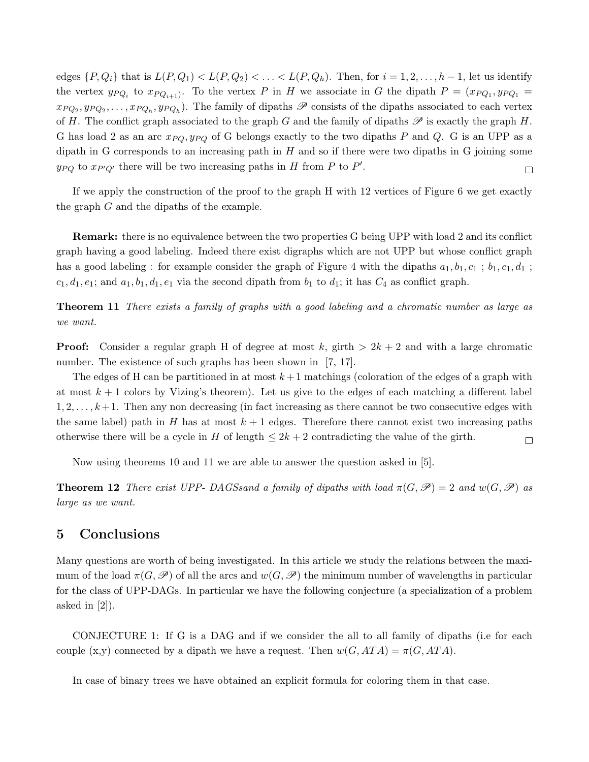edges  $\{P,Q_i\}$  that is  $L(P,Q_1) < L(P,Q_2) < \ldots < L(P,Q_h)$ . Then, for  $i = 1,2,\ldots,h-1$ , let us identify the vertex  $y_{PQ_i}$  to  $x_{PQ_{i+1}}$ . To the vertex P in H we associate in G the dipath  $P = (x_{PQ_1}, y_{PQ_1} =$  $x_{PQ_2}, y_{PQ_2}, \ldots, x_{PQ_h}, y_{PQ_h}$ . The family of dipaths  $\mathscr P$  consists of the dipaths associated to each vertex of H. The conflict graph associated to the graph G and the family of dipaths  $\mathscr P$  is exactly the graph H. G has load 2 as an arc  $x_{PQ}$ ,  $y_{PQ}$  of G belongs exactly to the two dipaths P and Q. G is an UPP as a dipath in G corresponds to an increasing path in  $H$  and so if there were two dipaths in G joining some  $y_{PQ}$  to  $x_{P'Q'}$  there will be two increasing paths in H from P to P'.  $\Box$ 

If we apply the construction of the proof to the graph H with 12 vertices of Figure 6 we get exactly the graph G and the dipaths of the example.

Remark: there is no equivalence between the two properties G being UPP with load 2 and its conflict graph having a good labeling. Indeed there exist digraphs which are not UPP but whose conflict graph has a good labeling : for example consider the graph of Figure 4 with the dipaths  $a_1, b_1, c_1$ ;  $b_1, c_1, d_1$ ;  $c_1, d_1, e_1$ ; and  $a_1, b_1, d_1, e_1$  via the second dipath from  $b_1$  to  $d_1$ ; it has  $C_4$  as conflict graph.

Theorem 11 There exists a family of graphs with a good labeling and a chromatic number as large as we want.

**Proof:** Consider a regular graph H of degree at most k, girth  $> 2k + 2$  and with a large chromatic number. The existence of such graphs has been shown in [7, 17].

The edges of H can be partitioned in at most  $k+1$  matchings (coloration of the edges of a graph with at most  $k+1$  colors by Vizing's theorem). Let us give to the edges of each matching a different label  $1, 2, \ldots, k+1$ . Then any non decreasing (in fact increasing as there cannot be two consecutive edges with the same label) path in H has at most  $k + 1$  edges. Therefore there cannot exist two increasing paths otherwise there will be a cycle in H of length  $\leq 2k+2$  contradicting the value of the girth.  $\Box$ 

Now using theorems 10 and 11 we are able to answer the question asked in [5].

**Theorem 12** There exist UPP- DAGSsand a family of dipaths with load  $\pi(G, \mathcal{P}) = 2$  and  $w(G, \mathcal{P})$  as large as we want.

### 5 Conclusions

Many questions are worth of being investigated. In this article we study the relations between the maximum of the load  $\pi(G,\mathscr{P})$  of all the arcs and  $w(G,\mathscr{P})$  the minimum number of wavelengths in particular for the class of UPP-DAGs. In particular we have the following conjecture (a specialization of a problem asked in  $[2]$ .

CONJECTURE 1: If G is a DAG and if we consider the all to all family of dipaths (i.e for each couple (x,y) connected by a dipath we have a request. Then  $w(G, ATA) = \pi(G, ATA)$ .

In case of binary trees we have obtained an explicit formula for coloring them in that case.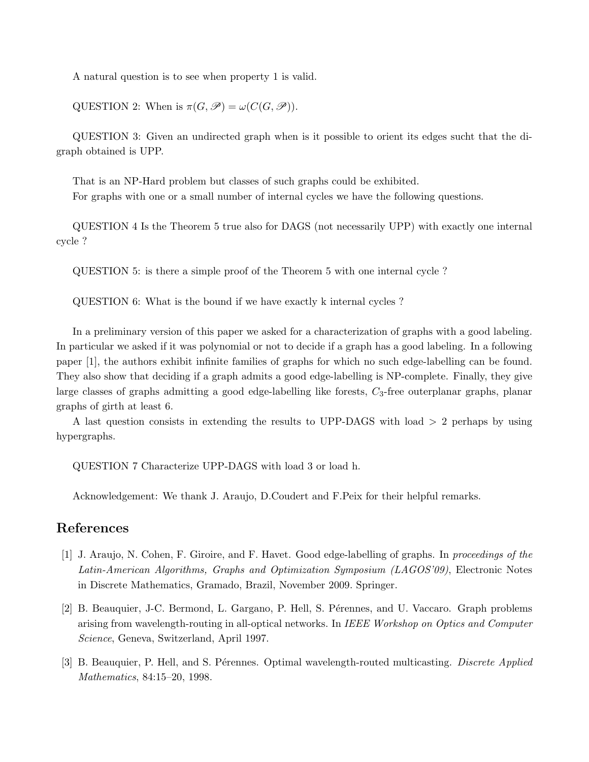A natural question is to see when property 1 is valid.

QUESTION 2: When is  $\pi(G, \mathscr{P}) = \omega(C(G, \mathscr{P})).$ 

QUESTION 3: Given an undirected graph when is it possible to orient its edges sucht that the digraph obtained is UPP.

That is an NP-Hard problem but classes of such graphs could be exhibited. For graphs with one or a small number of internal cycles we have the following questions.

QUESTION 4 Is the Theorem 5 true also for DAGS (not necessarily UPP) with exactly one internal cycle ?

QUESTION 5: is there a simple proof of the Theorem 5 with one internal cycle ?

QUESTION 6: What is the bound if we have exactly k internal cycles ?

In a preliminary version of this paper we asked for a characterization of graphs with a good labeling. In particular we asked if it was polynomial or not to decide if a graph has a good labeling. In a following paper [1], the authors exhibit infinite families of graphs for which no such edge-labelling can be found. They also show that deciding if a graph admits a good edge-labelling is NP-complete. Finally, they give large classes of graphs admitting a good edge-labelling like forests,  $C_3$ -free outerplanar graphs, planar graphs of girth at least 6.

A last question consists in extending the results to UPP-DAGS with load > 2 perhaps by using hypergraphs.

QUESTION 7 Characterize UPP-DAGS with load 3 or load h.

Acknowledgement: We thank J. Araujo, D.Coudert and F.Peix for their helpful remarks.

### References

- [1] J. Araujo, N. Cohen, F. Giroire, and F. Havet. Good edge-labelling of graphs. In proceedings of the Latin-American Algorithms, Graphs and Optimization Symposium (LAGOS'09), Electronic Notes in Discrete Mathematics, Gramado, Brazil, November 2009. Springer.
- [2] B. Beauquier, J-C. Bermond, L. Gargano, P. Hell, S. Pérennes, and U. Vaccaro. Graph problems arising from wavelength-routing in all-optical networks. In IEEE Workshop on Optics and Computer Science, Geneva, Switzerland, April 1997.
- [3] B. Beauquier, P. Hell, and S. Pérennes. Optimal wavelength-routed multicasting. Discrete Applied Mathematics, 84:15–20, 1998.